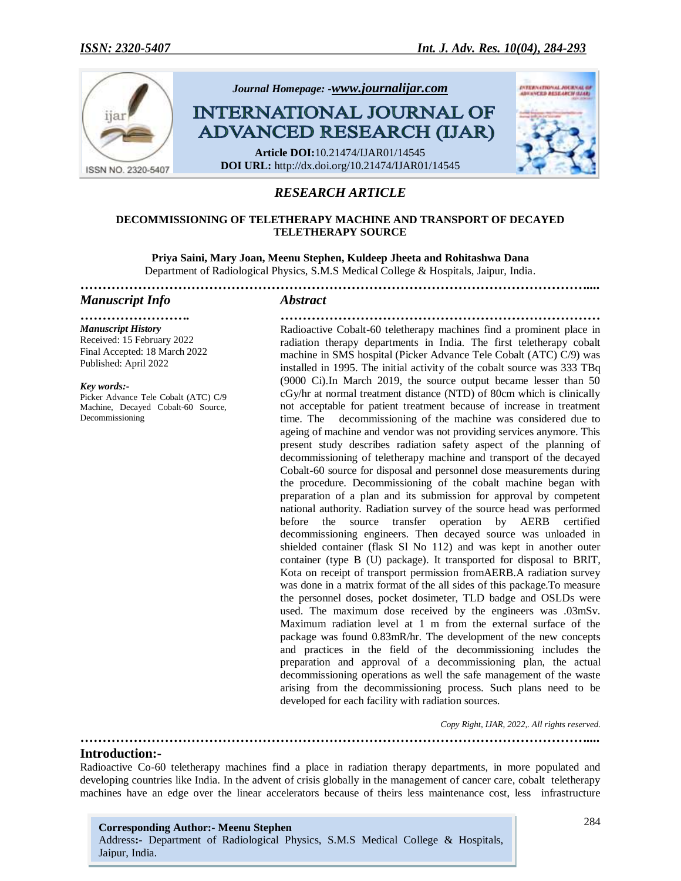

# *RESEARCH ARTICLE*

#### **DECOMMISSIONING OF TELETHERAPY MACHINE AND TRANSPORT OF DECAYED TELETHERAPY SOURCE**

**Priya Saini, Mary Joan, Meenu Stephen, Kuldeep Jheeta and Rohitashwa Dana** Department of Radiological Physics, S.M.S Medical College & Hospitals, Jaipur, India.

*……………………………………………………………………………………………………....*

#### *Manuscript Info Abstract*

*……………………. ……………………………………………………………… Manuscript History* Received: 15 February 2022 Final Accepted: 18 March 2022 Published: April 2022

*Key words:-* Picker Advance Tele Cobalt (ATC) C/9 Machine, Decayed Cobalt-60 Source, Decommissioning

Radioactive Cobalt-60 teletherapy machines find a prominent place in radiation therapy departments in India. The first teletherapy cobalt machine in SMS hospital (Picker Advance Tele Cobalt (ATC) C/9) was installed in 1995. The initial activity of the cobalt source was 333 TBq (9000 Ci).In March 2019, the source output became lesser than 50 cGy/hr at normal treatment distance (NTD) of 80cm which is clinically not acceptable for patient treatment because of increase in treatment time. The decommissioning of the machine was considered due to ageing of machine and vendor was not providing services anymore. This present study describes radiation safety aspect of the planning of decommissioning of teletherapy machine and transport of the decayed Cobalt-60 source for disposal and personnel dose measurements during the procedure. Decommissioning of the cobalt machine began with preparation of a plan and its submission for approval by competent national authority. Radiation survey of the source head was performed before the source transfer operation by AERB certified decommissioning engineers. Then decayed source was unloaded in shielded container (flask Sl No 112) and was kept in another outer container (type B (U) package). It transported for disposal to BRIT, Kota on receipt of transport permission fromAERB.A radiation survey was done in a matrix format of the all sides of this package.To measure the personnel doses, pocket dosimeter, TLD badge and OSLDs were used. The maximum dose received by the engineers was .03mSv. Maximum radiation level at 1 m from the external surface of the package was found 0.83mR/hr. The development of the new concepts and practices in the field of the decommissioning includes the preparation and approval of a decommissioning plan, the actual decommissioning operations as well the safe management of the waste arising from the decommissioning process. Such plans need to be developed for each facility with radiation sources.

*Copy Right, IJAR, 2022,. All rights reserved.*

**Introduction:-**

Radioactive Co-60 teletherapy machines find a place in radiation therapy departments, in more populated and developing countries like India. In the advent of crisis globally in the management of cancer care, cobalt teletherapy machines have an edge over the linear accelerators because of theirs less maintenance cost, less infrastructure

*……………………………………………………………………………………………………....*

**Corresponding Author:- Meenu Stephen** Address**:-** Department of Radiological Physics, S.M.S Medical College & Hospitals, Jaipur, India.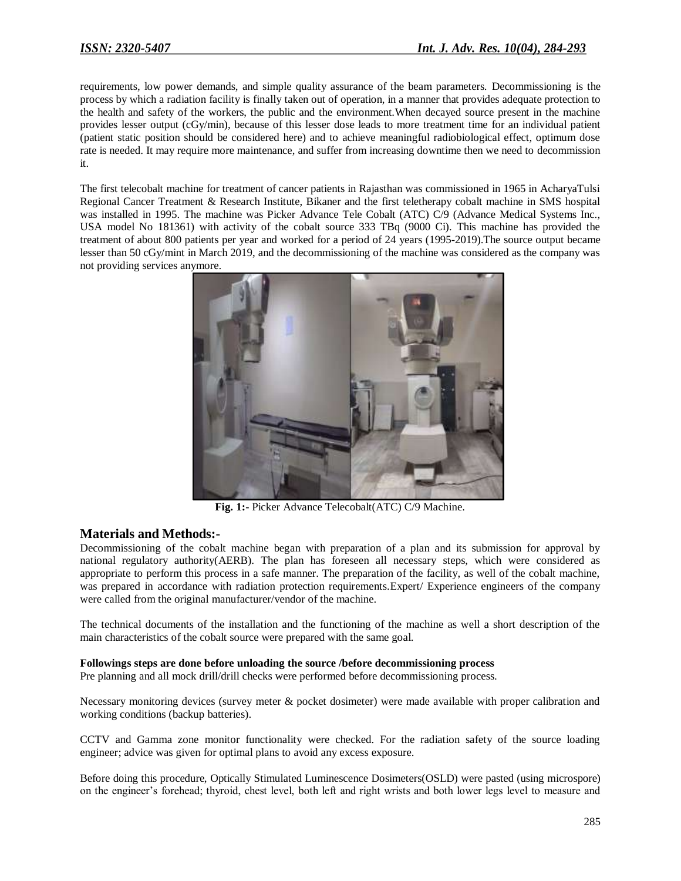requirements, low power demands, and simple quality assurance of the beam parameters. Decommissioning is the process by which a radiation facility is finally taken out of operation, in a manner that provides adequate protection to the health and safety of the workers, the public and the environment.When decayed source present in the machine provides lesser output (cGy/min), because of this lesser dose leads to more treatment time for an individual patient (patient static position should be considered here) and to achieve meaningful radiobiological effect, optimum dose rate is needed. It may require more maintenance, and suffer from increasing downtime then we need to decommission it.

The first telecobalt machine for treatment of cancer patients in Rajasthan was commissioned in 1965 in AcharyaTulsi Regional Cancer Treatment & Research Institute, Bikaner and the first teletherapy cobalt machine in SMS hospital was installed in 1995. The machine was Picker Advance Tele Cobalt (ATC) C/9 (Advance Medical Systems Inc., USA model No 181361) with activity of the cobalt source 333 TBq (9000 Ci). This machine has provided the treatment of about 800 patients per year and worked for a period of 24 years (1995-2019).The source output became lesser than 50 cGy/mint in March 2019, and the decommissioning of the machine was considered as the company was not providing services anymore.



**Fig. 1:-** Picker Advance Telecobalt(ATC) C/9 Machine.

## **Materials and Methods:-**

Decommissioning of the cobalt machine began with preparation of a plan and its submission for approval by national regulatory authority(AERB). The plan has foreseen all necessary steps, which were considered as appropriate to perform this process in a safe manner. The preparation of the facility, as well of the cobalt machine, was prepared in accordance with radiation protection requirements.Expert/ Experience engineers of the company were called from the original manufacturer/vendor of the machine.

The technical documents of the installation and the functioning of the machine as well a short description of the main characteristics of the cobalt source were prepared with the same goal.

#### **Followings steps are done before unloading the source /before decommissioning process**

Pre planning and all mock drill/drill checks were performed before decommissioning process.

Necessary monitoring devices (survey meter & pocket dosimeter) were made available with proper calibration and working conditions (backup batteries).

CCTV and Gamma zone monitor functionality were checked. For the radiation safety of the source loading engineer; advice was given for optimal plans to avoid any excess exposure.

Before doing this procedure, Optically Stimulated Luminescence Dosimeters(OSLD) were pasted (using microspore) on the engineer"s forehead; thyroid, chest level, both left and right wrists and both lower legs level to measure and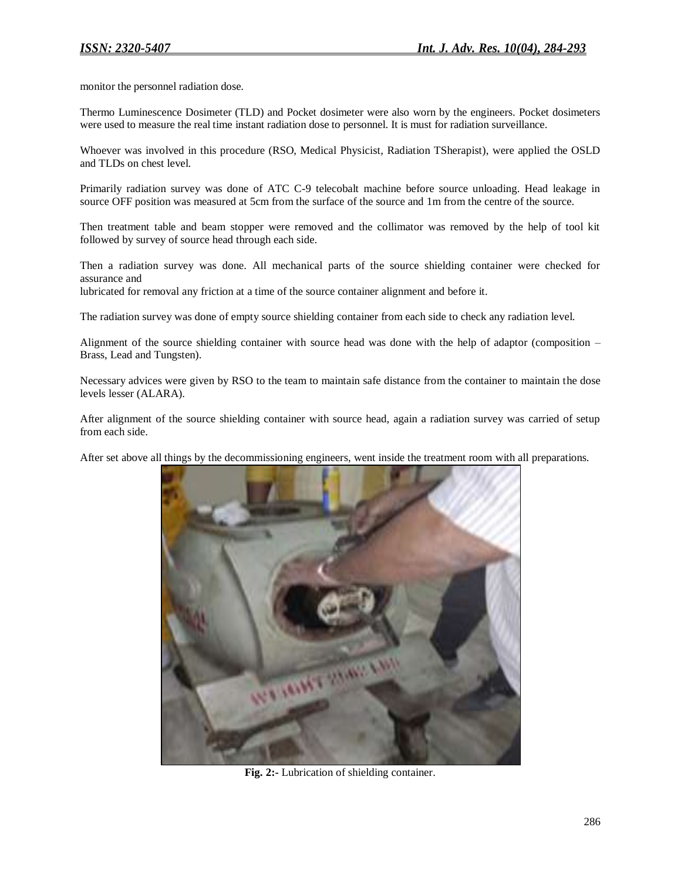monitor the personnel radiation dose.

Thermo Luminescence Dosimeter (TLD) and Pocket dosimeter were also worn by the engineers. Pocket dosimeters were used to measure the real time instant radiation dose to personnel. It is must for radiation surveillance.

Whoever was involved in this procedure (RSO, Medical Physicist, Radiation TSherapist), were applied the OSLD and TLDs on chest level.

Primarily radiation survey was done of ATC C-9 telecobalt machine before source unloading. Head leakage in source OFF position was measured at 5cm from the surface of the source and 1m from the centre of the source.

Then treatment table and beam stopper were removed and the collimator was removed by the help of tool kit followed by survey of source head through each side.

Then a radiation survey was done. All mechanical parts of the source shielding container were checked for assurance and

lubricated for removal any friction at a time of the source container alignment and before it.

The radiation survey was done of empty source shielding container from each side to check any radiation level.

Alignment of the source shielding container with source head was done with the help of adaptor (composition – Brass, Lead and Tungsten).

Necessary advices were given by RSO to the team to maintain safe distance from the container to maintain the dose levels lesser (ALARA).

After alignment of the source shielding container with source head, again a radiation survey was carried of setup from each side.

After set above all things by the decommissioning engineers, went inside the treatment room with all preparations.



**Fig. 2:-** Lubrication of shielding container.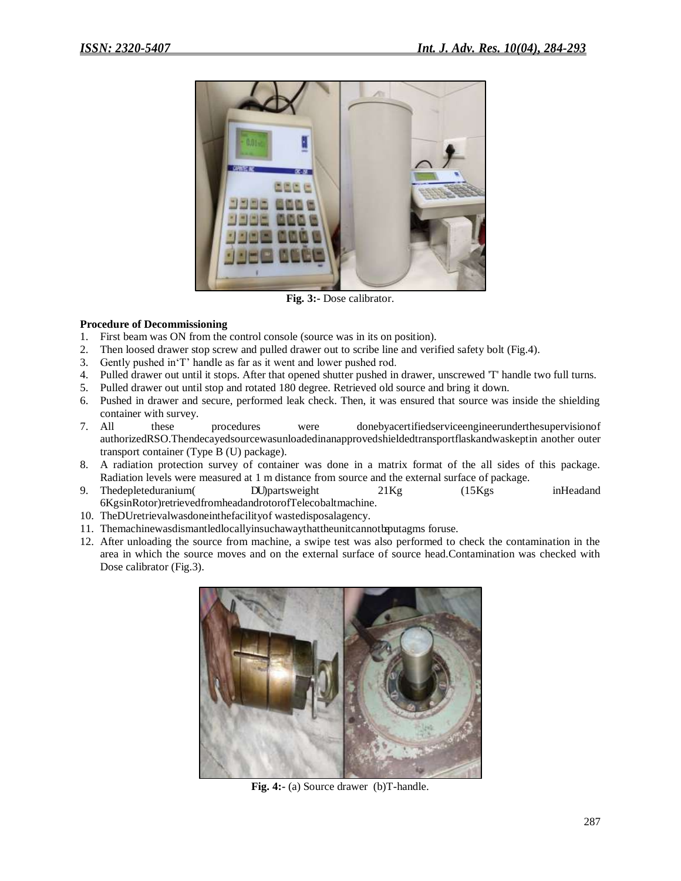

**Fig. 3:-** Dose calibrator.

### **Procedure of Decommissioning**

- 1. First beam was ON from the control console (source was in its on position).
- 2. Then loosed drawer stop screw and pulled drawer out to scribe line and verified safety bolt (Fig.4).
- 3. Gently pushed in"T" handle as far as it went and lower pushed rod.
- 4. Pulled drawer out until it stops. After that opened shutter pushed in drawer, unscrewed 'T' handle two full turns.
- 5. Pulled drawer out until stop and rotated 180 degree. Retrieved old source and bring it down.
- 6. Pushed in drawer and secure, performed leak check. Then, it was ensured that source was inside the shielding container with survey.
- 7. All these procedures were donebyacertifiedserviceengineerunderthesupervisionof authorizedRSO.Thendecayedsourcewasunloadedinanapprovedshieldedtransportflaskandwaskeptin another outer transport container (Type B (U) package).
- 8. A radiation protection survey of container was done in a matrix format of the all sides of this package. Radiation levels were measured at 1 m distance from source and the external surface of package.
- 9. Thedepleteduranium DU)partsweight 21Kg (15Kgs inHeadand 6KgsinRotor)retrievedfromheadandrotorofTelecobaltmachine.
- 10. TheDUretrievalwasdoneinthefacilityof wastedisposalagency.
- 11. Themachinewasdismantledlocallyinsuchawaythattheunitcannotbeputagms foruse.
- 12. After unloading the source from machine, a swipe test was also performed to check the contamination in the area in which the source moves and on the external surface of source head.Contamination was checked with Dose calibrator (Fig.3).



**Fig. 4:-** (a) Source drawer (b)T-handle.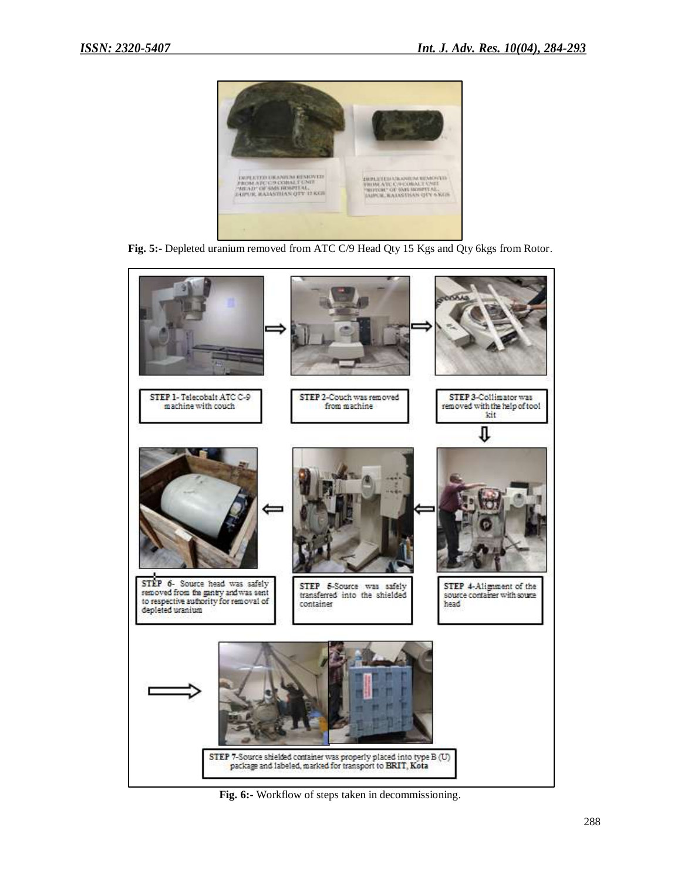

Fig. 5:- Depleted uranium removed from ATC C/9 Head Qty 15 Kgs and Qty 6kgs from Rotor.



**Fig. 6:-** Workflow of steps taken in decommissioning.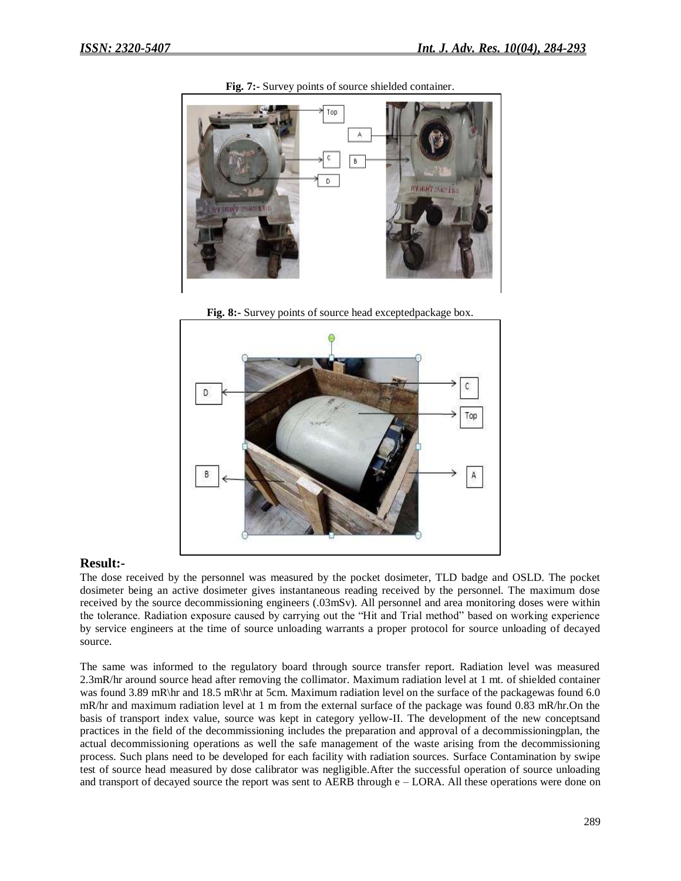

**Fig. 7:-** Survey points of source shielded container.



**Fig. 8:-** Survey points of source head exceptedpackage box.

#### **Result:-**

The dose received by the personnel was measured by the pocket dosimeter, TLD badge and OSLD. The pocket dosimeter being an active dosimeter gives instantaneous reading received by the personnel. The maximum dose received by the source decommissioning engineers (.03mSv). All personnel and area monitoring doses were within the tolerance. Radiation exposure caused by carrying out the "Hit and Trial method" based on working experience by service engineers at the time of source unloading warrants a proper protocol for source unloading of decayed source.

The same was informed to the regulatory board through source transfer report. Radiation level was measured 2.3mR/hr around source head after removing the collimator. Maximum radiation level at 1 mt. of shielded container was found 3.89 mR\hr and 18.5 mR\hr at 5cm. Maximum radiation level on the surface of the packagewas found 6.0 mR/hr and maximum radiation level at 1 m from the external surface of the package was found 0.83 mR/hr.On the basis of transport index value, source was kept in category yellow-II. The development of the new conceptsand practices in the field of the decommissioning includes the preparation and approval of a decommissioningplan, the actual decommissioning operations as well the safe management of the waste arising from the decommissioning process. Such plans need to be developed for each facility with radiation sources. Surface Contamination by swipe test of source head measured by dose calibrator was negligible.After the successful operation of source unloading and transport of decayed source the report was sent to AERB through e – LORA. All these operations were done on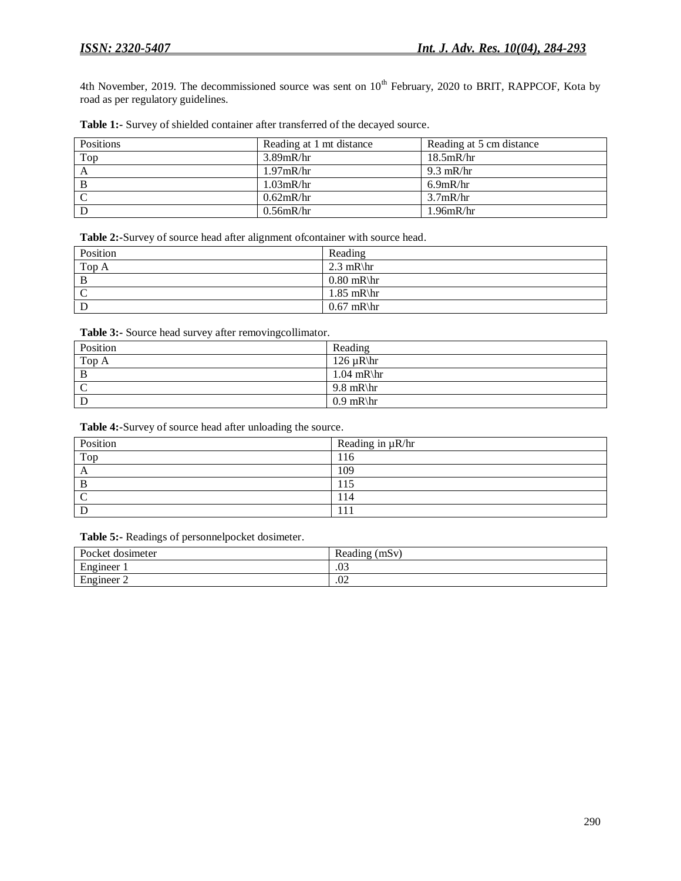4th November, 2019. The decommissioned source was sent on 10<sup>th</sup> February, 2020 to BRIT, RAPPCOF, Kota by road as per regulatory guidelines.

| Table 1:- Survey of shielded container after transferred of the decayed source. |  |  |  |  |  |
|---------------------------------------------------------------------------------|--|--|--|--|--|
|---------------------------------------------------------------------------------|--|--|--|--|--|

| Positions      | Reading at 1 mt distance | Reading at 5 cm distance |
|----------------|--------------------------|--------------------------|
| Top            | $3.89$ mR/hr             | 18.5mR/hr                |
|                | $1.97$ mR/hr             | $9.3$ mR/hr              |
| - B            | $1.03$ mR/hr             | $6.9$ mR/hr              |
| $\overline{C}$ | $0.62$ mR/hr             | $3.7$ mR/hr              |
| D              | $0.56$ mR/hr             | $1.96$ m $R$ /hr         |

**Table 2:-**Survey of source head after alignment ofcontainer with source head.

| Position | Reading      |
|----------|--------------|
| Top A    | 2.3 mR\hr    |
| B        | $0.80$ mR\hr |
|          | $1.85$ mR\hr |
|          | $0.67$ mR\hr |

Table 3:- Source head survey after removingcollimator.

| Position          | Reading        |
|-------------------|----------------|
| $Top\overline{A}$ | 126 $\mu$ R\hr |
| B                 | $1.04$ mR\hr   |
| C                 | $9.8$ mR\hr    |
|                   | $0.9$ mR\hr    |

**Table 4:-**Survey of source head after unloading the source.

| Position | Reading in $\mu$ R/hr |
|----------|-----------------------|
| Top      | 116                   |
| $\Delta$ | 109                   |
|          | 115                   |
|          | 114                   |
|          |                       |

**Table 5:-** Readings of personnelpocket dosimeter.

| Pocket dosimeter             | -<br>(mSv<br>Reading |
|------------------------------|----------------------|
| Engineer                     | $\sim$<br>.ט         |
| $\blacksquare$<br>Engineer 2 | $\sim$<br>.V4        |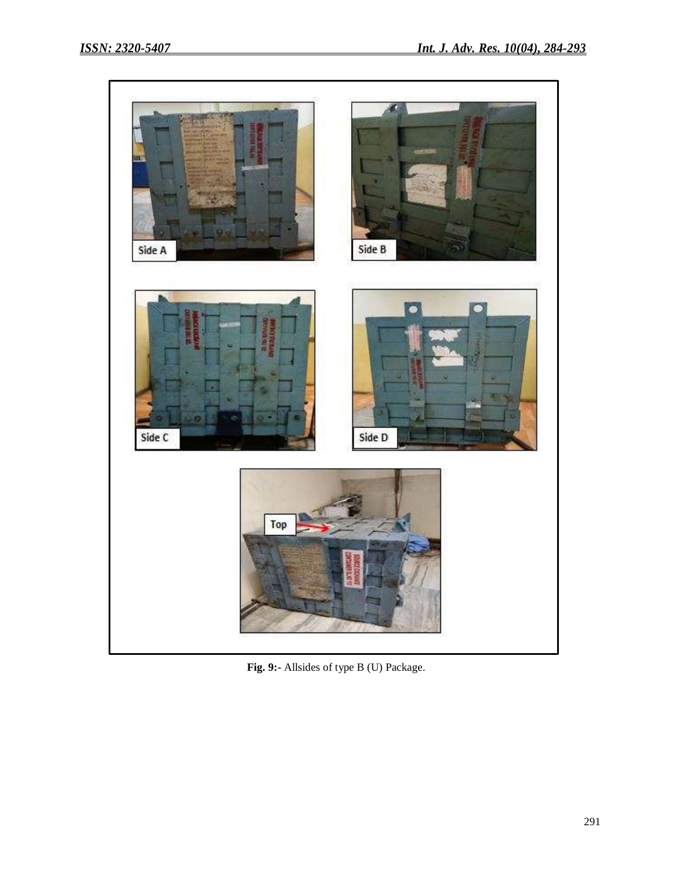

**Fig. 9:-** Allsides of type B (U) Package.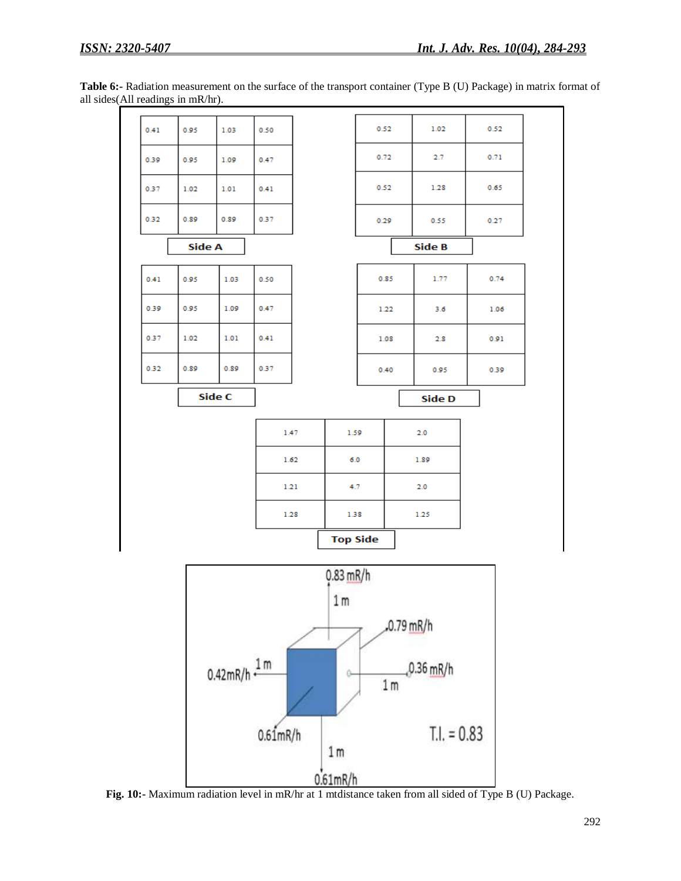| Table 6:- Radiation measurement on the surface of the transport container (Type B (U) Package) in matrix format of |  |
|--------------------------------------------------------------------------------------------------------------------|--|
| all sides $(All readings in mR/hr)$ .                                                                              |  |



**Fig. 10:-** Maximum radiation level in mR/hr at 1 mtdistance taken from all sided of Type B (U) Package.